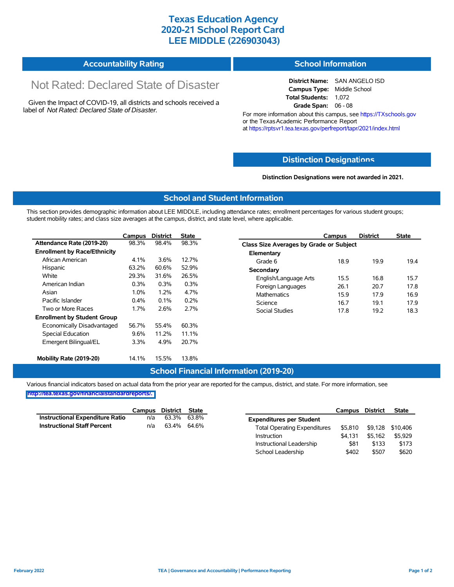## **Texas Education Agency 2020-21 School Report Card LEE MIDDLE (226903043)**

#### **Accountability Rating School Information**

# Not Rated: Declared State of Disaster

Given the Impact of COVID-19, all districts and schools received a label of *Not Rated: Declared State of Disaster.*

### **District Name:** SAN ANGELO ISD **Campus Type:** Middle School **Total Students:** 1,072 **Grade Span:** 06 - 08

For more information about this campus, see https://TXschools.gov or the Texas Academic Performance Report at https://rptsvr1.tea.texas.gov/perfreport/tapr/2021/index.html

## **Distinction Designat[ions](https://TXschools.gov)**

#### **Distinction Designations were not awarded in 2021.**

School Leadership  $$402$  \$507 \$620

### **School and Student Information**

This section provides demographic information about LEE MIDDLE, including attendance rates; enrollment percentages for various student groups; student mobility rates; and class size averages at the campus, district, and state level, where applicable.

|                                     | Campus                                                                                  | <b>District</b> | <b>State</b> | Campus                |                                         | <b>District</b> | <b>State</b> |  |  |  |
|-------------------------------------|-----------------------------------------------------------------------------------------|-----------------|--------------|-----------------------|-----------------------------------------|-----------------|--------------|--|--|--|
| Attendance Rate (2019-20)           | 98.3%                                                                                   | 98.4%           | 98.3%        |                       | Class Size Averages by Grade or Subject |                 |              |  |  |  |
| <b>Enrollment by Race/Ethnicity</b> |                                                                                         |                 |              | Elementary            |                                         |                 |              |  |  |  |
| African American                    | 4.1%                                                                                    | 3.6%            | 12.7%        | Grade 6               | 18.9                                    | 19.9            | 19.4         |  |  |  |
| Hispanic                            | 63.2%                                                                                   | 60.6%           | 52.9%        | Secondary             |                                         |                 |              |  |  |  |
| White                               | 29.3%                                                                                   | 31.6%           | 26.5%        | English/Language Arts | 15.5                                    | 16.8            | 15.7         |  |  |  |
| American Indian                     | 0.3%<br>0.3%<br>0.3%<br>Foreign Languages<br>4.7%<br>1.0%<br>1.2%<br><b>Mathematics</b> |                 | 26.1         | 20.7                  | 17.8                                    |                 |              |  |  |  |
| Asian                               |                                                                                         |                 | 15.9         | 17.9                  | 16.9                                    |                 |              |  |  |  |
| Pacific Islander                    | $0.4\%$                                                                                 | 0.1%            | 0.2%         | Science               | 16.7                                    | 19.1            | 17.9         |  |  |  |
| Two or More Races                   | 1.7%                                                                                    | 2.6%            | 2.7%         | Social Studies        | 17.8                                    | 19.2            | 18.3         |  |  |  |
| <b>Enrollment by Student Group</b>  |                                                                                         |                 |              |                       |                                         |                 |              |  |  |  |
| Economically Disadvantaged          | 56.7%                                                                                   | 55.4%           | 60.3%        |                       |                                         |                 |              |  |  |  |
| Special Education                   | 9.6%                                                                                    | 11.2%           | 11.1%        |                       |                                         |                 |              |  |  |  |
| Emergent Bilingual/EL               | 3.3%                                                                                    | 4.9%            | 20.7%        |                       |                                         |                 |              |  |  |  |
|                                     |                                                                                         |                 |              |                       |                                         |                 |              |  |  |  |
| Mobility Rate (2019-20)             | 14.1%                                                                                   | 15.5%           | 13.8%        |                       |                                         |                 |              |  |  |  |

## **School Financial Information (2019-20)**

Various financial indicators based on actual data from the prior year are reported for the campus, district, and state. For more information, see

**[http://tea.texas.gov/financialstandardreports/.](http://tea.texas.gov/financialstandardreports/)**

|                                        | Campus | District | State       |                                     | Campus  | <b>District</b> | <b>State</b>     |
|----------------------------------------|--------|----------|-------------|-------------------------------------|---------|-----------------|------------------|
| <b>Instructional Expenditure Ratio</b> | n/a    | 63.3%    | 63.8%       | <b>Expenditures per Student</b>     |         |                 |                  |
| <b>Instructional Staff Percent</b>     | n/a    |          | 63.4% 64.6% | <b>Total Operating Expenditures</b> | \$5.810 |                 | \$9,128 \$10,406 |
|                                        |        |          |             | Instruction                         | \$4.131 | \$5.162         | \$5,929          |
|                                        |        |          |             | Instructional Leadership            | \$81    | \$133           | \$173            |